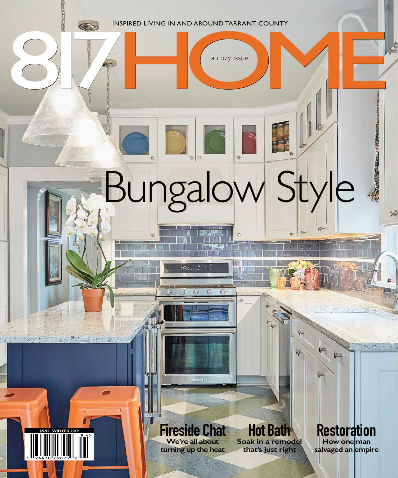